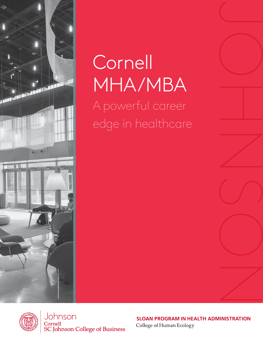

# Cornell MHA/MBA A powerful career edge in healthcare



Johnson Cornell **SC Johnson College of Business** 

**SLOAN PROGRAM IN HEALTH ADMINISTRATION** 

College of Human Ecology